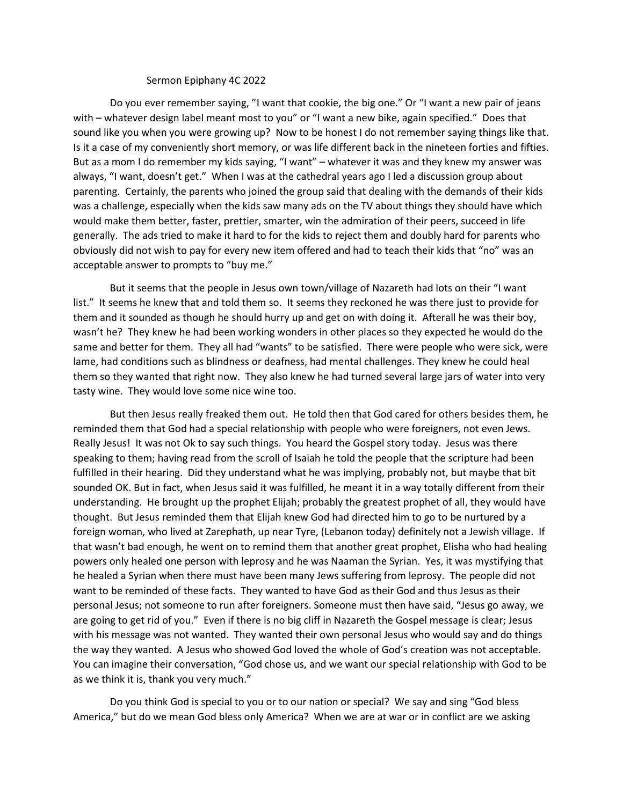## Sermon Epiphany 4C 2022

Do you ever remember saying, "I want that cookie, the big one." Or "I want a new pair of jeans with – whatever design label meant most to you" or "I want a new bike, again specified." Does that sound like you when you were growing up? Now to be honest I do not remember saying things like that. Is it a case of my conveniently short memory, or was life different back in the nineteen forties and fifties. But as a mom I do remember my kids saying, "I want" – whatever it was and they knew my answer was always, "I want, doesn't get." When I was at the cathedral years ago I led a discussion group about parenting. Certainly, the parents who joined the group said that dealing with the demands of their kids was a challenge, especially when the kids saw many ads on the TV about things they should have which would make them better, faster, prettier, smarter, win the admiration of their peers, succeed in life generally. The ads tried to make it hard to for the kids to reject them and doubly hard for parents who obviously did not wish to pay for every new item offered and had to teach their kids that "no" was an acceptable answer to prompts to "buy me."

But it seems that the people in Jesus own town/village of Nazareth had lots on their "I want list." It seems he knew that and told them so. It seems they reckoned he was there just to provide for them and it sounded as though he should hurry up and get on with doing it. Afterall he was their boy, wasn't he? They knew he had been working wonders in other places so they expected he would do the same and better for them. They all had "wants" to be satisfied. There were people who were sick, were lame, had conditions such as blindness or deafness, had mental challenges. They knew he could heal them so they wanted that right now. They also knew he had turned several large jars of water into very tasty wine. They would love some nice wine too.

But then Jesus really freaked them out. He told then that God cared for others besides them, he reminded them that God had a special relationship with people who were foreigners, not even Jews. Really Jesus! It was not Ok to say such things. You heard the Gospel story today. Jesus was there speaking to them; having read from the scroll of Isaiah he told the people that the scripture had been fulfilled in their hearing. Did they understand what he was implying, probably not, but maybe that bit sounded OK. But in fact, when Jesus said it was fulfilled, he meant it in a way totally different from their understanding. He brought up the prophet Elijah; probably the greatest prophet of all, they would have thought. But Jesus reminded them that Elijah knew God had directed him to go to be nurtured by a foreign woman, who lived at Zarephath, up near Tyre, (Lebanon today) definitely not a Jewish village. If that wasn't bad enough, he went on to remind them that another great prophet, Elisha who had healing powers only healed one person with leprosy and he was Naaman the Syrian. Yes, it was mystifying that he healed a Syrian when there must have been many Jews suffering from leprosy. The people did not want to be reminded of these facts. They wanted to have God as their God and thus Jesus as their personal Jesus; not someone to run after foreigners. Someone must then have said, "Jesus go away, we are going to get rid of you." Even if there is no big cliff in Nazareth the Gospel message is clear; Jesus with his message was not wanted. They wanted their own personal Jesus who would say and do things the way they wanted. A Jesus who showed God loved the whole of God's creation was not acceptable. You can imagine their conversation, "God chose us, and we want our special relationship with God to be as we think it is, thank you very much."

Do you think God is special to you or to our nation or special? We say and sing "God bless America," but do we mean God bless only America? When we are at war or in conflict are we asking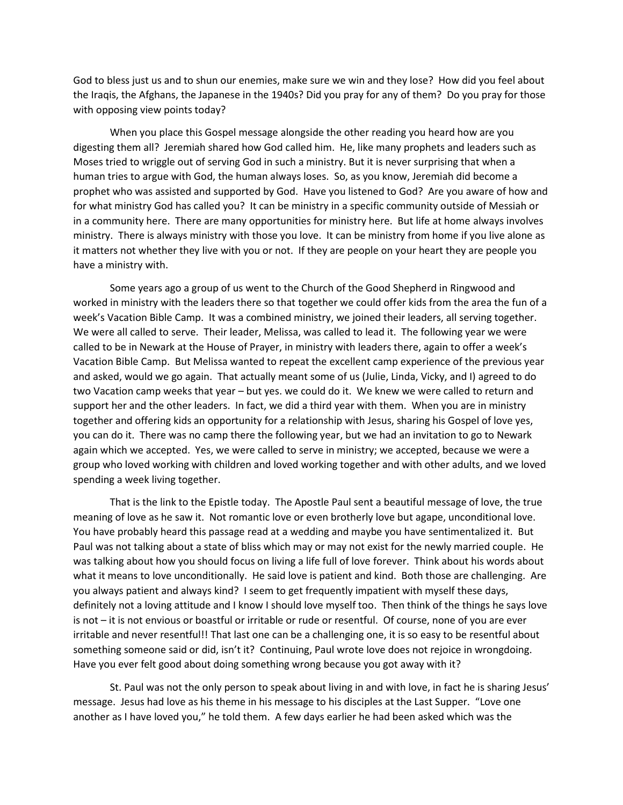God to bless just us and to shun our enemies, make sure we win and they lose? How did you feel about the Iraqis, the Afghans, the Japanese in the 1940s? Did you pray for any of them? Do you pray for those with opposing view points today?

When you place this Gospel message alongside the other reading you heard how are you digesting them all? Jeremiah shared how God called him. He, like many prophets and leaders such as Moses tried to wriggle out of serving God in such a ministry. But it is never surprising that when a human tries to argue with God, the human always loses. So, as you know, Jeremiah did become a prophet who was assisted and supported by God. Have you listened to God? Are you aware of how and for what ministry God has called you? It can be ministry in a specific community outside of Messiah or in a community here. There are many opportunities for ministry here. But life at home always involves ministry. There is always ministry with those you love. It can be ministry from home if you live alone as it matters not whether they live with you or not. If they are people on your heart they are people you have a ministry with.

Some years ago a group of us went to the Church of the Good Shepherd in Ringwood and worked in ministry with the leaders there so that together we could offer kids from the area the fun of a week's Vacation Bible Camp. It was a combined ministry, we joined their leaders, all serving together. We were all called to serve. Their leader, Melissa, was called to lead it. The following year we were called to be in Newark at the House of Prayer, in ministry with leaders there, again to offer a week's Vacation Bible Camp. But Melissa wanted to repeat the excellent camp experience of the previous year and asked, would we go again. That actually meant some of us (Julie, Linda, Vicky, and I) agreed to do two Vacation camp weeks that year – but yes. we could do it. We knew we were called to return and support her and the other leaders. In fact, we did a third year with them. When you are in ministry together and offering kids an opportunity for a relationship with Jesus, sharing his Gospel of love yes, you can do it. There was no camp there the following year, but we had an invitation to go to Newark again which we accepted. Yes, we were called to serve in ministry; we accepted, because we were a group who loved working with children and loved working together and with other adults, and we loved spending a week living together.

That is the link to the Epistle today. The Apostle Paul sent a beautiful message of love, the true meaning of love as he saw it. Not romantic love or even brotherly love but agape, unconditional love. You have probably heard this passage read at a wedding and maybe you have sentimentalized it. But Paul was not talking about a state of bliss which may or may not exist for the newly married couple. He was talking about how you should focus on living a life full of love forever. Think about his words about what it means to love unconditionally. He said love is patient and kind. Both those are challenging. Are you always patient and always kind? I seem to get frequently impatient with myself these days, definitely not a loving attitude and I know I should love myself too. Then think of the things he says love is not – it is not envious or boastful or irritable or rude or resentful. Of course, none of you are ever irritable and never resentful!! That last one can be a challenging one, it is so easy to be resentful about something someone said or did, isn't it? Continuing, Paul wrote love does not rejoice in wrongdoing. Have you ever felt good about doing something wrong because you got away with it?

St. Paul was not the only person to speak about living in and with love, in fact he is sharing Jesus' message. Jesus had love as his theme in his message to his disciples at the Last Supper. "Love one another as I have loved you," he told them. A few days earlier he had been asked which was the